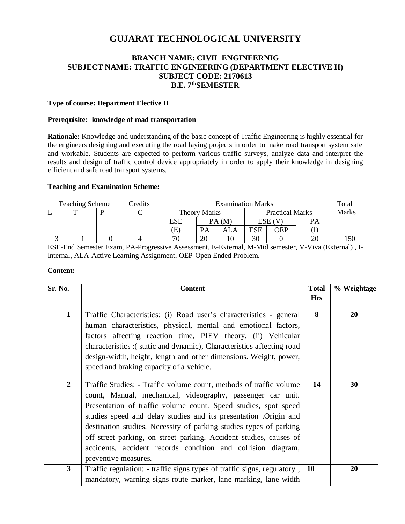# **GUJARAT TECHNOLOGICAL UNIVERSITY**

# **BRANCH NAME: CIVIL ENGINEERNIG SUBJECT NAME: TRAFFIC ENGINEERING (DEPARTMENT ELECTIVE II) SUBJECT CODE: 2170613 B.E. 7 thSEMESTER**

### **Type of course: Department Elective II**

### **Prerequisite: knowledge of road transportation**

**Rationale:** Knowledge and understanding of the basic concept of Traffic Engineering is highly essential for the engineers designing and executing the road laying projects in order to make road transport system safe and workable. Students are expected to perform various traffic surveys, analyze data and interpret the results and design of traffic control device appropriately in order to apply their knowledge in designing efficient and safe road transport systems.

#### **Teaching and Examination Scheme:**

| <b>Teaching Scheme</b> |  | redits | <b>Examination Marks</b> |              |           |                        | Total      |            |              |  |
|------------------------|--|--------|--------------------------|--------------|-----------|------------------------|------------|------------|--------------|--|
|                        |  |        |                          | Theory Marks |           | <b>Practical Marks</b> |            |            | <b>Marks</b> |  |
|                        |  |        |                          | ESE          |           | PA(M)                  |            | $ESE$ (V)  |              |  |
|                        |  |        |                          | E)           | <b>PA</b> | ALA                    | <b>ESE</b> | <b>OEP</b> |              |  |
|                        |  |        |                          | 70           | 20        |                        | 30         |            | 20           |  |

ESE-End Semester Exam, PA-Progressive Assessment, E-External, M-Mid semester, V-Viva (External) , I-Internal, ALA-Active Learning Assignment, OEP-Open Ended Problem**.**

#### **Content:**

| Sr. No.          | <b>Content</b>                                                                                                                                                                                                                                                                                                                                                                                                                                                                                                | <b>Total</b> | % Weightage |
|------------------|---------------------------------------------------------------------------------------------------------------------------------------------------------------------------------------------------------------------------------------------------------------------------------------------------------------------------------------------------------------------------------------------------------------------------------------------------------------------------------------------------------------|--------------|-------------|
|                  |                                                                                                                                                                                                                                                                                                                                                                                                                                                                                                               | <b>Hrs</b>   |             |
| $\mathbf{1}$     | Traffic Characteristics: (i) Road user's characteristics - general<br>human characteristics, physical, mental and emotional factors,<br>factors affecting reaction time, PIEV theory. (ii) Vehicular<br>characteristics :(static and dynamic), Characteristics affecting road<br>design-width, height, length and other dimensions. Weight, power,<br>speed and braking capacity of a vehicle.                                                                                                                | 8            | 20          |
| $\boldsymbol{2}$ | Traffic Studies: - Traffic volume count, methods of traffic volume<br>count, Manual, mechanical, videography, passenger car unit.<br>Presentation of traffic volume count. Speed studies, spot speed<br>studies speed and delay studies and its presentation . Origin and<br>destination studies. Necessity of parking studies types of parking<br>off street parking, on street parking, Accident studies, causes of<br>accidents, accident records condition and collision diagram,<br>preventive measures. | 14           | 30          |
| $\mathbf{3}$     | Traffic regulation: - traffic signs types of traffic signs, regulatory,<br>mandatory, warning signs route marker, lane marking, lane width                                                                                                                                                                                                                                                                                                                                                                    | <b>10</b>    | 20          |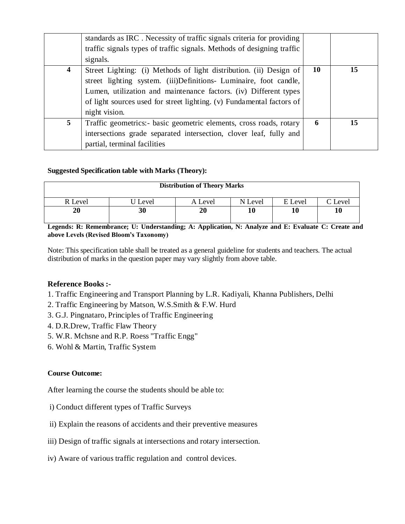|                         | standards as IRC. Necessity of traffic signals criteria for providing<br>traffic signals types of traffic signals. Methods of designing traffic |    |    |
|-------------------------|-------------------------------------------------------------------------------------------------------------------------------------------------|----|----|
|                         | signals.                                                                                                                                        |    |    |
| $\overline{\mathbf{4}}$ | Street Lighting: (i) Methods of light distribution. (ii) Design of                                                                              | 10 | 15 |
|                         | street lighting system. (iii)Definitions- Luminaire, foot candle,                                                                               |    |    |
|                         | Lumen, utilization and maintenance factors. (iv) Different types                                                                                |    |    |
|                         | of light sources used for street lighting. (v) Fundamental factors of                                                                           |    |    |
|                         | night vision.                                                                                                                                   |    |    |
| 5                       | Traffic geometrics: basic geometric elements, cross roads, rotary                                                                               | 6  | 15 |
|                         | intersections grade separated intersection, clover leaf, fully and                                                                              |    |    |
|                         | partial, terminal facilities                                                                                                                    |    |    |

# **Suggested Specification table with Marks (Theory):**

| <b>Distribution of Theory Marks</b> |         |         |         |         |                     |  |  |
|-------------------------------------|---------|---------|---------|---------|---------------------|--|--|
| R Level                             | U Level | A Level | N Level | E Level | $\mathcal{C}$ Level |  |  |
| 20                                  | 30      | 20      | 10      | 10      | 10                  |  |  |

**Legends: R: Remembrance; U: Understanding; A: Application, N: Analyze and E: Evaluate C: Create and above Levels (Revised Bloom's Taxonomy)**

Note: This specification table shall be treated as a general guideline for students and teachers. The actual distribution of marks in the question paper may vary slightly from above table.

## **Reference Books :-**

- 1. Traffic Engineering and Transport Planning by L.R. Kadiyali, Khanna Publishers, Delhi
- 2. Traffic Engineering by Matson, W.S.Smith & F.W. Hurd
- 3. G.J. Pingnataro, Principles of Traffic Engineering
- 4. D.R.Drew, Traffic Flaw Theory
- 5. W.R. Mchsne and R.P. Roess "Traffic Engg"
- 6. Wohl & Martin, Traffic System

## **Course Outcome:**

After learning the course the students should be able to:

- i) Conduct different types of Traffic Surveys
- ii) Explain the reasons of accidents and their preventive measures
- iii) Design of traffic signals at intersections and rotary intersection.
- iv) Aware of various traffic regulation and control devices.